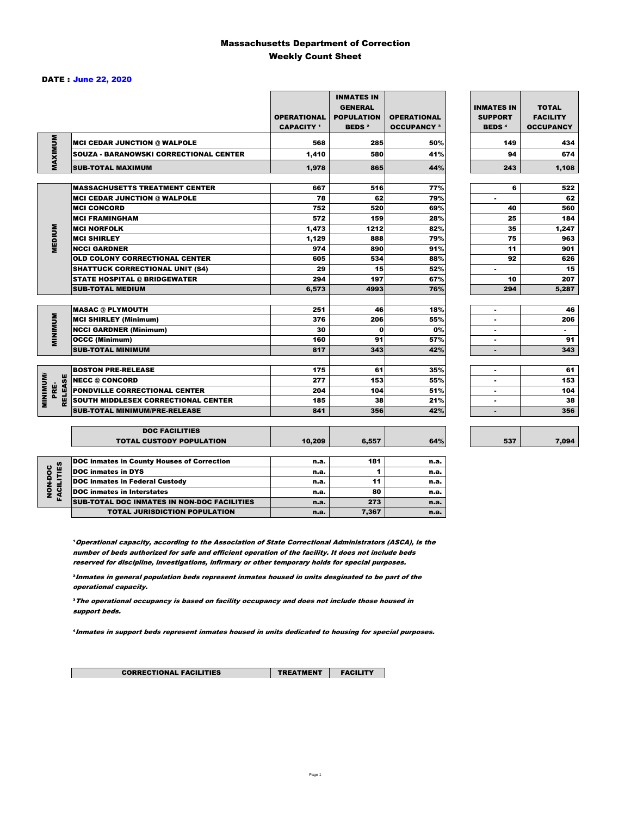### Massachusetts Department of Correction Weekly Count Sheet

#### DATE : June 22, 2020

|                                   |                                                   | <b>OPERATIONAL</b><br><b>CAPACITY</b> 1 | <b>INMATES IN</b><br><b>GENERAL</b><br><b>POPULATION</b><br><b>BEDS<sup>2</sup></b> | <b>OPERATIONAL</b><br><b>OCCUPANCY 3</b> | <b>INMATES IN</b><br><b>SUPPORT</b><br><b>BEDS<sup>4</sup></b> | <b>TOTAL</b><br><b>FACILITY</b><br><b>OCCUPANCY</b> |
|-----------------------------------|---------------------------------------------------|-----------------------------------------|-------------------------------------------------------------------------------------|------------------------------------------|----------------------------------------------------------------|-----------------------------------------------------|
|                                   | <b>MCI CEDAR JUNCTION @ WALPOLE</b>               | 568                                     | 285                                                                                 | 50%                                      | 149                                                            | 434                                                 |
|                                   | <b>SOUZA - BARANOWSKI CORRECTIONAL CENTER</b>     | 1,410                                   | 580                                                                                 | 41%                                      | 94                                                             | 674                                                 |
| MAXIMUM                           | <b>SUB-TOTAL MAXIMUM</b>                          | 1.978                                   | 865                                                                                 | 44%                                      | 243                                                            | 1,108                                               |
|                                   |                                                   |                                         |                                                                                     |                                          |                                                                |                                                     |
|                                   | <b>MASSACHUSETTS TREATMENT CENTER</b>             | 667                                     | 516                                                                                 | 77%                                      | 6                                                              | 522                                                 |
|                                   | <b>MCI CEDAR JUNCTION @ WALPOLE</b>               | 78                                      | 62                                                                                  | 79%                                      | $\blacksquare$                                                 | 62                                                  |
|                                   | <b>MCI CONCORD</b>                                | 752                                     | 520                                                                                 | 69%                                      | 40                                                             | 560                                                 |
|                                   | <b>MCI FRAMINGHAM</b>                             | 572                                     | 159                                                                                 | 28%                                      | 25                                                             | 184                                                 |
| <b>MEDIUM</b>                     | <b>MCI NORFOLK</b>                                | 1,473                                   | 1212                                                                                | 82%                                      | 35                                                             | 1,247                                               |
|                                   | <b>MCI SHIRLEY</b>                                | 1,129                                   | 888                                                                                 | 79%                                      | 75                                                             | 963                                                 |
|                                   | <b>NCCI GARDNER</b>                               | 974                                     | 890                                                                                 | 91%                                      | 11                                                             | 901                                                 |
|                                   | <b>OLD COLONY CORRECTIONAL CENTER</b>             | 605                                     | 534                                                                                 | 88%                                      | 92                                                             | 626                                                 |
|                                   | <b>SHATTUCK CORRECTIONAL UNIT (S4)</b>            | 29                                      | 15                                                                                  | 52%                                      | $\blacksquare$                                                 | 15                                                  |
|                                   | <b>STATE HOSPITAL @ BRIDGEWATER</b>               | 294                                     | 197                                                                                 | 67%                                      | 10                                                             | 207                                                 |
|                                   | <b>SUB-TOTAL MEDIUM</b>                           | 6,573                                   | 4993                                                                                | 76%                                      | 294                                                            | 5,287                                               |
|                                   | <b>MASAC @ PLYMOUTH</b>                           | 251                                     | 46                                                                                  | 18%                                      |                                                                | 46                                                  |
| <b>MINIMUM</b>                    | <b>MCI SHIRLEY (Minimum)</b>                      | 376                                     | 206                                                                                 | 55%                                      | ÷.                                                             | 206                                                 |
|                                   | <b>NCCI GARDNER (Minimum)</b>                     | 30                                      | $\mathbf{0}$                                                                        | 0%                                       | $\overline{\phantom{a}}$                                       | $\sim$                                              |
|                                   | <b>OCCC (Minimum)</b>                             | 160                                     | 91                                                                                  | 57%                                      | $\blacksquare$                                                 | 91                                                  |
|                                   | <b>SUB-TOTAL MINIMUM</b>                          | 817                                     | 343                                                                                 | 42%                                      | $\blacksquare$                                                 | 343                                                 |
|                                   |                                                   |                                         |                                                                                     |                                          |                                                                |                                                     |
|                                   | <b>BOSTON PRE-RELEASE</b>                         | 175                                     | 61                                                                                  | 35%                                      | $\blacksquare$                                                 | 61                                                  |
| <b>MINIMINI</b><br><b>RELEASE</b> | <b>NECC @ CONCORD</b>                             | 277                                     | 153                                                                                 | 55%                                      |                                                                | 153                                                 |
| PRE-                              | <b>PONDVILLE CORRECTIONAL CENTER</b>              | 204                                     | 104                                                                                 | 51%                                      | $\blacksquare$                                                 | 104                                                 |
|                                   | SOUTH MIDDLESEX CORRECTIONAL CENTER               | 185                                     | 38                                                                                  | 21%                                      | $\blacksquare$                                                 | 38                                                  |
|                                   | <b>SUB-TOTAL MINIMUM/PRE-RELEASE</b>              | 841                                     | 356                                                                                 | 42%                                      |                                                                | 356                                                 |
|                                   | <b>DOC FACILITIES</b>                             |                                         |                                                                                     |                                          |                                                                |                                                     |
|                                   | <b>TOTAL CUSTODY POPULATION</b>                   | 10,209                                  | 6,557                                                                               | 64%                                      | 537                                                            | 7,094                                               |
|                                   | <b>DOC inmates in County Houses of Correction</b> | n.a.                                    | 181                                                                                 | n.a.                                     |                                                                |                                                     |
| <b>FACILITIES</b>                 | <b>DOC inmates in DYS</b>                         | n.a.                                    | 1                                                                                   | n.a.                                     |                                                                |                                                     |
|                                   | <b>DOC inmates in Federal Custody</b>             | n.a.                                    | 11                                                                                  | n.a.                                     |                                                                |                                                     |
| NON-DOC                           | <b>DOC</b> inmates in Interstates                 | n.a.                                    | 80                                                                                  | n.a.                                     |                                                                |                                                     |
|                                   | CUR TOTAL BOO INIMETED IN NON BOO FACULTIED       |                                         | $5 - 2$                                                                             |                                          |                                                                |                                                     |

**Operational capacity, according to the Association of State Correctional Administrators (ASCA), is the** number of beds authorized for safe and efficient operation of the facility. It does not include beds reserved for discipline, investigations, infirmary or other temporary holds for special purposes.

SUB-TOTAL DOC INMATES IN NON-DOC FACILITIES n.a. 273 n.a. TOTAL JURISDICTION POPULATION **n.a.** 7,367 n.a.

²Inmates in general population beds represent inmates housed in units desginated to be part of the operational capacity.

³The operational occupancy is based on facility occupancy and does not include those housed in support beds.

⁴Inmates in support beds represent inmates housed in units dedicated to housing for special purposes.

CORRECTIONAL FACILITIES **TREATMENT** FACILITY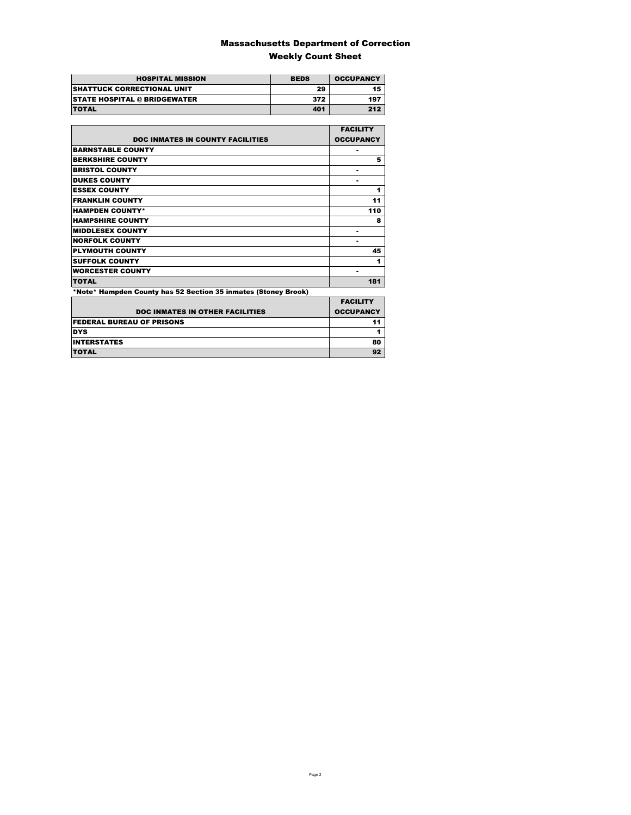### Massachusetts Department of Correction Weekly Count Sheet

| <b>HOSPITAL MISSION</b>             | <b>BEDS</b> | <b>OCCUPANCY</b> |
|-------------------------------------|-------------|------------------|
| <b>SHATTUCK CORRECTIONAL UNIT</b>   | 29          | 15               |
| <b>STATE HOSPITAL @ BRIDGEWATER</b> | 372         | 197              |
| <b>TOTAL</b>                        | 401         | 212              |

|                                                                | <b>FACILITY</b>  |
|----------------------------------------------------------------|------------------|
| <b>DOC INMATES IN COUNTY FACILITIES</b>                        | <b>OCCUPANCY</b> |
| <b>BARNSTABLE COUNTY</b>                                       |                  |
| <b>BERKSHIRE COUNTY</b>                                        | 5                |
| <b>BRISTOL COUNTY</b>                                          |                  |
| <b>DUKES COUNTY</b>                                            |                  |
| <b>ESSEX COUNTY</b>                                            | 1                |
| <b>FRANKLIN COUNTY</b>                                         | 11               |
| <b>HAMPDEN COUNTY*</b>                                         | 110              |
| <b>HAMPSHIRE COUNTY</b>                                        | 8                |
| <b>MIDDLESEX COUNTY</b>                                        | -                |
| <b>NORFOLK COUNTY</b>                                          | ۰                |
| <b>PLYMOUTH COUNTY</b>                                         | 45               |
| <b>SUFFOLK COUNTY</b>                                          | 1                |
| <b>WORCESTER COUNTY</b>                                        |                  |
| <b>TOTAL</b>                                                   | 181              |
| *Note* Hampden County has 52 Section 35 inmates (Stoney Brook) |                  |
|                                                                | <b>EACH ITV</b>  |

| <b>DOC INMATES IN OTHER FACILITIES</b> | <b>FACILITY</b><br><b>OCCUPANCY</b> |
|----------------------------------------|-------------------------------------|
| <b>FEDERAL BUREAU OF PRISONS</b>       |                                     |
| <b>DYS</b>                             |                                     |
| <b>INTERSTATES</b>                     | 80                                  |
| <b>TOTAL</b>                           |                                     |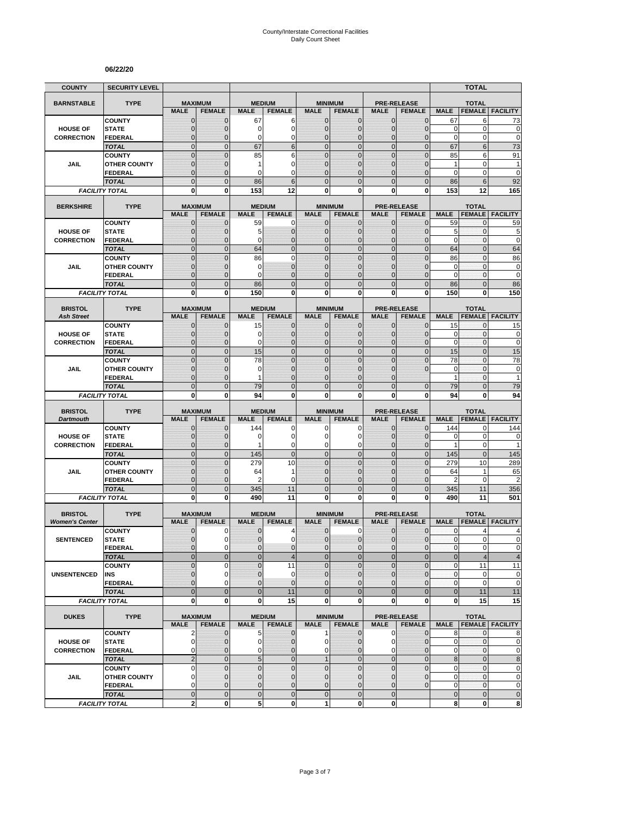#### **06/22/20**

| <b>COUNTY</b>         | <b>SECURITY LEVEL</b>                 |                               |                              |                             |                                |                              |                                 |                              |                                     |                           | <b>TOTAL</b>                  |                        |
|-----------------------|---------------------------------------|-------------------------------|------------------------------|-----------------------------|--------------------------------|------------------------------|---------------------------------|------------------------------|-------------------------------------|---------------------------|-------------------------------|------------------------|
| <b>BARNSTABLE</b>     | <b>TYPE</b>                           | <b>MAXIMUM</b>                |                              | <b>MEDIUM</b>               |                                |                              | <b>MINIMUM</b>                  |                              | <b>PRE-RELEASE</b>                  |                           | <b>TOTAL</b>                  |                        |
|                       |                                       | <b>MALE</b>                   | <b>FEMALE</b>                | <b>MALE</b>                 | <b>FEMALE</b>                  | <b>MALE</b>                  | <b>FEMALE</b>                   | <b>MALE</b>                  | <b>FEMALE</b>                       | <b>MALE</b>               | <b>FEMALE</b>                 | <b>FACILITY</b>        |
|                       | <b>COUNTY</b>                         | $\mathbf 0$                   | $\mathbf{0}$                 | 67                          | 6                              | $\mathbf{0}$                 | 0                               | $\mathbf{0}$                 | $\overline{0}$                      | 67                        | 6                             | 73                     |
| <b>HOUSE OF</b>       | <b>STATE</b>                          | $\mathbf 0$                   | $\mathbf{0}$                 | 0                           | 0                              | $\mathbf{0}$                 | 0                               | $\mathbf{0}$                 | $\overline{0}$                      | 0                         | 0                             | 0                      |
| <b>CORRECTION</b>     | <b>FEDERAL</b><br><b>TOTAL</b>        | $\Omega$<br>$\overline{0}$    | $\mathbf 0$<br>$\mathbf{0}$  | 0<br>67                     | $\mathbf 0$<br>$6\phantom{1}6$ | 0<br>$\mathbf{0}$            | $\overline{0}$<br>$\mathbf 0$   | $\Omega$<br>$\overline{0}$   | 0<br>$\overline{0}$                 | $\mathbf 0$<br>67         | 0<br>$6\phantom{1}$           | $\mathbf 0$<br>73      |
|                       | <b>COUNTY</b>                         | $\mathbf 0$                   | $\mathbf 0$                  | 85                          | 6                              | $\mathbf{0}$                 | $\mathbf 0$                     | $\mathbf 0$                  | $\mathbf 0$                         | 85                        | 6                             | 91                     |
| JAIL                  | <b>OTHER COUNTY</b>                   | $\overline{0}$                | $\mathbf 0$                  | 1                           | $\mathbf 0$                    | $\Omega$                     | $\overline{0}$                  | $\Omega$                     | $\overline{0}$                      | $\mathbf{1}$              | 0                             | $\mathbf{1}$           |
|                       | <b>FEDERAL</b>                        | $\mathbf 0$                   | $\mathbf{0}$                 | 0                           | $\mathbf 0$                    | $\mathbf{0}$                 | 0                               | $\mathbf{0}$                 | 0                                   | 0                         | $\mathbf 0$                   | $\mathbf 0$            |
|                       | <b>TOTAL</b>                          | $\overline{0}$                | $\mathbf{0}$                 | 86                          | 6                              | $\Omega$                     | $\overline{0}$                  | $\Omega$                     | $\overline{0}$                      | 86                        | 6                             | 92                     |
|                       | <b>FACILITY TOTAL</b>                 | $\bf{0}$                      | $\bf{0}$                     | 153                         | 12                             | 0                            | 0                               | 0                            | $\mathbf{0}$                        | 153                       | 12                            | 165                    |
| <b>BERKSHIRE</b>      | <b>TYPE</b>                           | <b>MAXIMUM</b>                |                              |                             | <b>MEDIUM</b>                  |                              | <b>MINIMUM</b>                  |                              | <b>PRE-RELEASE</b>                  |                           | <b>TOTAL</b>                  |                        |
|                       |                                       | <b>MALE</b>                   | <b>FEMALE</b>                | <b>MALE</b>                 | <b>FEMALE</b>                  | <b>MALE</b>                  | <b>FEMALE</b>                   | <b>MALE</b>                  | <b>FEMALE</b>                       | <b>MALE</b>               | <b>FEMALE</b>                 | <b>FACILITY</b>        |
|                       | <b>COUNTY</b>                         | $\mathbf{0}$                  | $\mathbf 0$                  | 59                          | 0                              | $\mathbf{0}$                 | 0                               | $\mathbf 0$                  | $\mathbf{0}$                        | 59                        | 0                             | 59                     |
| <b>HOUSE OF</b>       | <b>STATE</b>                          | $\mathbf 0$                   | $\mathbf 0$                  | 5                           | $\pmb{0}$                      | $\mathbf{0}$                 | $\mathbf 0$                     | $\mathbf{0}$                 | $\mathbf 0$                         | 5                         | $\mathbf{0}$                  | 5                      |
| <b>CORRECTION</b>     | <b>FEDERAL</b>                        | $\mathbf{0}$                  | $\mathbf 0$                  | $\Omega$                    | $\mathbf 0$                    | $\mathbf{0}$                 | $\overline{0}$                  | $\mathbf{0}$                 | $\overline{0}$                      | $\mathbf 0$               | $\mathbf{0}$                  | $\mathbf 0$            |
|                       | <b>TOTAL</b>                          | $\overline{0}$                | $\Omega$                     | 64                          | $\overline{0}$                 | $\mathbf 0$                  | $\mathbf 0$                     | $\mathbf{0}$                 | $\overline{0}$                      | 64                        | $\overline{0}$                | 64                     |
|                       | <b>COUNTY</b>                         | $\overline{0}$                | $\mathbf 0$                  | 86                          | $\mathbf 0$                    | $\mathbf 0$                  | $\overline{0}$                  | $\Omega$<br>$\Omega$         | $\overline{0}$                      | 86                        | $\mathbf 0$<br>$\mathbf 0$    | 86                     |
| JAIL                  | <b>OTHER COUNTY</b><br><b>FEDERAL</b> | $\mathbf 0$<br>$\overline{0}$ | $\mathbf 0$<br>$\mathbf 0$   | 0<br>$\Omega$               | $\mathbf 0$<br>$\overline{0}$  | $\mathbf{0}$<br>$\mathbf{0}$ | 0<br>$\overline{0}$             | $\Omega$                     | $\mathbf 0$<br>$\overline{0}$       | 0<br>$\mathbf 0$          | $\mathbf{0}$                  | 0<br>$\mathbf 0$       |
|                       | <b>TOTAL</b>                          | $\mathbf 0$                   | $\overline{0}$               | 86                          | $\mathbf 0$                    | $\mathbf 0$                  | $\mathbf 0$                     | $\mathbf{0}$                 | $\mathbf 0$                         | 86                        | $\mathbf{0}$                  | 86                     |
|                       | <b>FACILITY TOTAL</b>                 | $\mathbf 0$                   | 0                            | 150                         | $\mathbf 0$                    | $\mathbf{0}$                 | $\mathbf 0$                     | $\mathbf 0$                  | $\mathbf{0}$                        | 150                       | 0                             | 150                    |
|                       |                                       |                               |                              |                             |                                |                              |                                 |                              |                                     |                           |                               |                        |
| <b>BRISTOL</b>        | <b>TYPE</b>                           | <b>MAXIMUM</b>                |                              | <b>MEDIUM</b>               | <b>FEMALE</b>                  |                              | <b>MINIMUM</b>                  |                              | <b>PRE-RELEASE</b>                  |                           | <b>TOTAL</b><br><b>FEMALE</b> |                        |
| <b>Ash Street</b>     | <b>COUNTY</b>                         | <b>MALE</b><br>$\mathbf{0}$   | <b>FEMALE</b><br>$\mathbf 0$ | <b>MALE</b><br>15           | $\mathbf{0}$                   | <b>MALE</b><br>$\mathbf 0$   | <b>FEMALE</b><br>$\mathbf{0}$   | <b>MALE</b><br>$\mathbf 0$   | <b>FEMALE</b><br>$\overline{0}$     | <b>MALE</b><br>15         | 0                             | <b>FACILITY</b><br>15  |
| <b>HOUSE OF</b>       | <b>STATE</b>                          | $\mathbf 0$                   | $\mathbf 0$                  | 0                           | $\mathbf 0$                    | $\Omega$                     | 0                               | $\Omega$                     | $\overline{0}$                      | 0                         | 0                             | $\bf{0}$               |
| <b>CORRECTION</b>     | <b>FEDERAL</b>                        | $\overline{0}$                | $\mathbf{0}$                 | 0                           | $\mathbf{0}$                   | $\mathbf{0}$                 | $\mathbf 0$                     | $\mathbf{0}$                 | $\mathbf 0$                         | $\mathbf 0$               | $\mathbf{0}$                  | $\mathbf 0$            |
|                       | <b>TOTAL</b>                          | $\overline{0}$                | $\mathbf{0}$                 | 15                          | $\mathbf 0$                    | $\overline{0}$               | $\mathbf 0$                     | $\mathbf{0}$                 | $\mathbf 0$                         | 15                        | $\overline{0}$                | 15                     |
|                       | <b>COUNTY</b>                         | $\Omega$                      | $\Omega$                     | 78                          | $\Omega$                       | $\Omega$                     | $\overline{0}$                  | $\Omega$                     | $\overline{0}$                      | 78                        | $\overline{0}$                | 78                     |
| JAIL                  | <b>OTHER COUNTY</b>                   | $\overline{0}$                | $\mathbf 0$                  | 0                           | $\overline{0}$                 | $\mathbf{0}$                 | $\overline{0}$                  | $\mathbf 0$                  | $\Omega$                            | $\mathbf 0$               | $\mathbf 0$                   | 0                      |
|                       | <b>FEDERAL</b>                        | $\overline{0}$                | $\mathbf 0$                  | 1                           | $\mathbf 0$                    | $\mathbf{0}$                 | 0                               | $\Omega$                     |                                     | $\mathbf{1}$              | 0                             | 1                      |
|                       | <b>TOTAL</b>                          | $\overline{0}$                | $\Omega$                     | 79                          | $\mathbf 0$                    | $\Omega$                     | $\overline{0}$                  | $\Omega$                     | $\overline{0}$                      | 79                        | $\overline{0}$                | 79                     |
|                       | <b>FACILITY TOTAL</b>                 | 0                             | 0                            | 94                          | 0                              | $\mathbf{0}$                 | 0                               | 0                            | 0                                   | 94                        | 0                             | 94                     |
| <b>BRISTOL</b>        | <b>TYPE</b>                           | <b>MAXIMUM</b>                |                              |                             | <b>MEDIUM</b>                  |                              | <b>MINIMUM</b>                  |                              | <b>PRE-RELEASE</b>                  |                           | <b>TOTAL</b>                  |                        |
| <b>Dartmouth</b>      |                                       | <b>MALE</b>                   | <b>FEMALE</b>                | <b>MALE</b>                 | <b>FEMALE</b>                  | <b>MALE</b>                  | <b>FEMALE</b>                   | <b>MALE</b>                  | <b>FEMALE</b>                       | <b>MALE</b>               | <b>FEMALE</b>                 | <b>FACILITY</b>        |
|                       | <b>COUNTY</b>                         | $\mathbf 0$                   | $\mathbf 0$                  | 144                         | 0                              | 0                            | 0                               | $\mathbf 0$                  | $\overline{0}$                      | 144                       | 0                             | 144                    |
| <b>HOUSE OF</b>       | <b>STATE</b>                          | $\mathbf 0$<br>$\overline{0}$ | $\Omega$<br>$\mathbf{0}$     | 0<br>1                      | $\mathbf 0$<br>$\mathbf 0$     | $\Omega$<br>$\mathbf 0$      | 0<br>0                          | $\Omega$<br>$\mathbf{0}$     | $\mathbf 0$<br>$\overline{0}$       | 0                         | $\mathbf 0$<br>0              | $\mathbf 0$<br>1       |
| <b>CORRECTION</b>     | <b>FEDERAL</b><br><b>TOTAL</b>        | $\overline{0}$                | $\mathbf{0}$                 | 145                         | $\mathbf 0$                    | $\overline{0}$               | $\overline{0}$                  | $\mathbf{0}$                 | $\overline{0}$                      | 1<br>145                  | $\overline{0}$                | 145                    |
|                       | <b>COUNTY</b>                         | $\mathbf 0$                   | $\overline{0}$               | 279                         | 10                             | $\mathbf{0}$                 | $\mathbf 0$                     | $\mathbf{0}$                 | $\mathbf 0$                         | 279                       | 10                            | 289                    |
| <b>JAIL</b>           | <b>OTHER COUNTY</b>                   | $\overline{0}$                | $\Omega$                     | 64                          | 1                              | $\Omega$                     | $\overline{0}$                  | $\Omega$                     | $\overline{0}$                      | 64                        | 1                             | 65                     |
|                       | <b>FEDERAL</b>                        | $\mathbf 0$                   | $\mathbf 0$                  | $\overline{2}$              | $\mathbf 0$                    | $\mathbf 0$                  | $\mathbf 0$                     | $\mathbf{0}$                 | $\overline{0}$                      | $\overline{2}$            | $\mathbf 0$                   | $\overline{2}$         |
|                       | <b>TOTAL</b>                          | $\mathbf 0$                   | $\overline{0}$               | 345                         | 11                             | $\mathbf 0$                  | $\mathbf 0$                     | $\mathbf{0}$                 | $\mathbf 0$                         | 345                       | 11                            | 356                    |
|                       | <b>FACILITY TOTAL</b>                 | $\bf{0}$                      | $\bf{0}$                     | 490                         | 11                             | $\mathbf{0}$                 | 0                               | 0                            | 0                                   | 490                       | 11                            | 501                    |
| <b>BRISTOL</b>        | <b>TYPE</b>                           | <b>MAXIMUM</b>                |                              | <b>MEDIUM</b>               |                                |                              |                                 |                              |                                     |                           | <b>TOTAL</b>                  |                        |
| <b>Women's Center</b> |                                       | <b>MALE</b>                   | <b>FEMALE</b>                | <b>MALE</b>                 | <b>FEMALE</b>                  | <b>MALE</b>                  | <b>MINIMUM</b><br><b>FEMALE</b> | <b>MALE</b>                  | <b>PRE-RELEASE</b><br><b>FEMALE</b> | <b>MALE</b>               | <b>FEMALE</b>                 | <b>FACILITY</b>        |
|                       | <b>COUNTY</b>                         | $\mathbf{0}$                  | 0                            | 0                           | 4                              | $\mathbf{0}$                 | 0                               | $\mathbf{0}$                 | $\mathbf{0}$                        | $\mathbf{0}$              | 4                             | 4                      |
| <b>SENTENCED</b>      | <b>STATE</b>                          | $\Omega$                      | 0                            | $\Omega$                    | $\Omega$                       | $\Omega$                     | $\Omega$                        | $\Omega$                     | $\Omega$                            | $\mathbf{0}$              | $\overline{0}$                | $\Omega$               |
|                       | <b>FEDERAL</b>                        | $\mathbf 0$                   | $\pmb{0}$                    | $\pmb{0}$                   | $\pmb{0}$                      | $\mathbf 0$                  | $\mathbf 0$                     | $\mathbf 0$                  | $\mathbf 0$                         | $\pmb{0}$                 | $\mathbf 0$                   | $\pmb{0}$              |
|                       | <b>TOTAL</b>                          | $\mathbf 0$                   | $\mathbf 0$                  | $\mathbf{0}$                | $\overline{\mathbf{4}}$        | $\mathbf 0$                  | $\mathbf 0$                     | $\mathbf{0}$                 | $\mathbf 0$                         | $\bf 0$                   | $\overline{\mathbf{4}}$       | $\overline{4}$         |
|                       | <b>COUNTY</b>                         | $\mathbf 0$                   | $\mathbf 0$                  | 0                           | 11                             | $\mathbf{0}$                 | $\mathbf 0$                     | $\mathbf{0}$                 | $\mathbf 0$                         | $\pmb{0}$                 | 11                            | 11                     |
| UNSENTENCED           | INS                                   | $\mathbf 0$<br>$\overline{0}$ | $\mathbf 0$<br>$\Omega$      | $\pmb{0}$<br>$\overline{0}$ | $\mathbf 0$<br>$\mathbf 0$     | $\mathbf{0}$<br>$\mathbf{0}$ | $\mathbf{0}$<br>$\overline{0}$  | $\mathbf{0}$<br>$\mathbf{0}$ | $\mathbf{0}$<br>$\mathbf 0$         | $\mathbf{0}$<br>$\pmb{0}$ | 0<br>$\mathbf 0$              | $\pmb{0}$<br>$\pmb{0}$ |
|                       | <b>FEDERAL</b><br><b>TOTAL</b>        | $\overline{0}$                | $\overline{0}$               | $\mathbf{0}$                | 11                             | $\overline{0}$               | $\overline{0}$                  | $\mathbf{0}$                 | $\mathbf 0$                         | $\bf 0$                   | 11                            | 11                     |
|                       | <b>FACILITY TOTAL</b>                 | $\mathbf 0$                   | $\mathbf{0}$                 | 0                           | 15                             | 0                            | $\mathbf 0$                     | $\mathbf{0}$                 | $\mathbf{0}$                        | 0                         | 15                            | 15                     |
|                       |                                       |                               |                              |                             |                                |                              |                                 |                              |                                     |                           |                               |                        |
| <b>DUKES</b>          | <b>TYPE</b>                           |                               | <b>MAXIMUM</b>               |                             | <b>MEDIUM</b>                  |                              | <b>MINIMUM</b>                  |                              | <b>PRE-RELEASE</b>                  |                           | <b>TOTAL</b>                  |                        |
|                       | <b>COUNTY</b>                         | <b>MALE</b><br>2              | <b>FEMALE</b><br>$\mathbf 0$ | <b>MALE</b><br>5            | <b>FEMALE</b><br>$\mathbf{0}$  | <b>MALE</b><br>1             | <b>FEMALE</b><br>$\mathbf{0}$   | <b>MALE</b><br>$\mathbf 0$   | <b>FEMALE</b><br>$\mathbf 0$        | <b>MALE</b><br>8          | 0                             | <b>FEMALE FACILITY</b> |
| <b>HOUSE OF</b>       | <b>STATE</b>                          | 0                             | $\mathbf{0}$                 | 0                           | $\pmb{0}$                      | 0                            | 0                               | 0                            | $\pmb{0}$                           | 0                         | $\mathbf 0$                   | 8<br>$\mathbf 0$       |
| <b>CORRECTION</b>     | <b>FEDERAL</b>                        | $\mathbf 0$                   | $\mathbf{0}$                 | 0                           | $\mathbf{0}$                   | $\mathbf 0$                  | $\mathbf 0$                     | 0                            | $\overline{0}$                      | 0                         | 0                             | $\mathbf 0$            |
|                       | <b>TOTAL</b>                          | $\overline{2}$                | $\mathbf{0}$                 | 5                           | $\mathbf 0$                    | $\mathbf{1}$                 | $\mathbf 0$                     | $\mathbf{0}$                 | $\overline{0}$                      | $\bf 8$                   | $\mathbf 0$                   | $\bf 8$                |
|                       | <b>COUNTY</b>                         | 0                             | $\overline{0}$               | $\mathbf 0$                 | $\mathbf 0$                    | $\mathbf 0$                  | $\mathbf 0$                     | $\mathbf{0}$                 | $\mathbf 0$                         | $\pmb{0}$                 | $\mathbf{0}$                  | $\mathbf 0$            |
| <b>JAIL</b>           | <b>OTHER COUNTY</b>                   | $\mathbf 0$                   | $\Omega$                     | $\mathbf 0$                 | $\mathbf{0}$                   | $\Omega$                     | $\mathbf 0$                     | $\Omega$                     | $\mathbf{0}$                        | $\mathbf 0$               | $\mathbf 0$                   | $\pmb{0}$              |
|                       | <b>FEDERAL</b>                        | 0                             | $\mathbf{0}$                 | $\mathbf 0$                 | $\pmb{0}$                      | $\mathbf{0}$                 | $\mathbf 0$                     | $\mathbf{0}$                 | $\mathbf{0}$                        | $\mathbf 0$               | $\mathbf 0$                   | $\pmb{0}$              |
|                       | <b>TOTAL</b>                          | $\mathbf 0$                   | $\mathbf{0}$                 | $\pmb{0}$                   | $\mathbf 0$                    | $\mathbf{0}$                 | $\mathbf 0$                     | $\mathbf{0}$                 |                                     | $\mathbf 0$               | $\mathbf 0$                   | $\pmb{0}$              |
|                       | <b>FACILITY TOTAL</b>                 | $\overline{\mathbf{2}}$       | 0                            | 5                           | $\mathbf 0$                    | $\mathbf{1}$                 | 0                               | $\mathbf{0}$                 |                                     | 8                         | $\mathbf 0$                   | 8                      |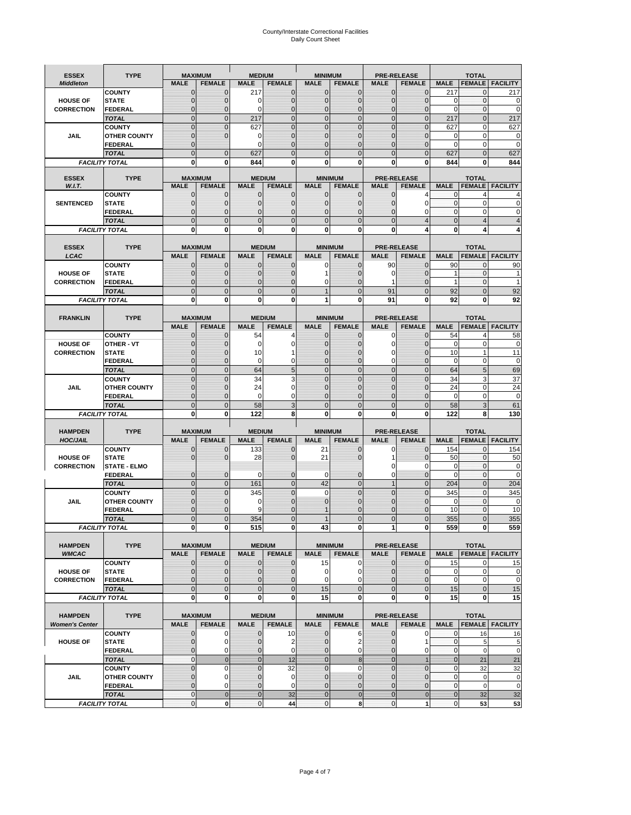# County/Interstate Correctional Facilities Daily Count Sheet

| <b>ESSEX</b>          | <b>TYPE</b>                           |                                  | <b>MAXIMUM</b>                   | <b>MEDIUM</b>                    |                     | <b>MINIMUM</b>               |                                |                                  | <b>PRE-RELEASE</b>                    |                            | <b>TOTAL</b>               |                          |
|-----------------------|---------------------------------------|----------------------------------|----------------------------------|----------------------------------|---------------------|------------------------------|--------------------------------|----------------------------------|---------------------------------------|----------------------------|----------------------------|--------------------------|
| <b>Middleton</b>      |                                       | <b>MALE</b>                      | <b>FEMALE</b>                    | <b>MALE</b>                      | <b>FEMALE</b>       | <b>MALE</b>                  | <b>FEMALE</b>                  | MALE                             | <b>FEMALE</b>                         | <b>MALE</b>                | <b>FEMALE</b>              | <b>FACILITY</b>          |
|                       | <b>COUNTY</b>                         | 0                                | 0                                | 217                              | 0                   | $\mathbf 0$                  | $\mathbf{0}$                   | 0                                | $\Omega$                              | 217                        | 0                          | 217                      |
| <b>HOUSE OF</b>       | <b>STATE</b>                          | 0                                | $\mathbf 0$                      | $\Omega$                         | 0                   | $\mathbf{0}$                 | $\Omega$                       | $\mathbf 0$                      | $\Omega$                              | $\Omega$                   | $\Omega$                   | 0                        |
| <b>CORRECTION</b>     | <b>FEDERAL</b>                        | 0                                | $\mathbf 0$                      | 0                                | 0                   | $\mathbf{0}$                 | $\mathbf 0$                    | $\mathbf{0}$                     | $\mathbf 0$                           | $\mathbf 0$                | $\mathbf{0}$               | $\mathbf 0$              |
|                       | <b>TOTAL</b>                          | $\overline{0}$                   | $\overline{0}$                   | 217                              | $\mathbf 0$         | $\mathbf 0$                  | $\overline{0}$                 | $\mathbf 0$                      | $\overline{0}$                        | 217                        | $\mathbf{0}$               | 217                      |
|                       | <b>COUNTY</b>                         | $\mathbf{0}$<br>$\mathbf 0$      | $\overline{0}$<br>$\overline{0}$ | 627                              | $\overline{0}$<br>0 | $\mathbf{0}$<br>$\mathbf{0}$ | $\Omega$                       | $\mathbf 0$<br>$\mathbf 0$       | $\Omega$<br>ſ                         | 627                        | $\mathbf 0$                | 627                      |
| JAIL                  | <b>OTHER COUNTY</b><br><b>FEDERAL</b> | $\mathbf{0}$                     |                                  | 0<br>$\Omega$                    | $\Omega$            | $\mathbf{0}$                 | $\mathbf{0}$<br>$\Omega$       | $\mathbf{0}$                     | 0                                     | 0<br>$\Omega$              | $\mathbf 0$<br>$\mathbf 0$ | 0<br>$\mathbf 0$         |
|                       | <b>TOTAL</b>                          | $\overline{0}$                   | $\mathbf 0$                      | 627                              | $\Omega$            | $\Omega$                     | $\Omega$                       | $\overline{0}$                   | $\Omega$                              | 627                        | $\Omega$                   | 627                      |
|                       | <b>FACILITY TOTAL</b>                 | 0                                | 0                                | 844                              | O                   | $\bf{0}$                     | 0                              | 0                                | 0                                     | 844                        | 0                          | 844                      |
|                       |                                       |                                  |                                  |                                  |                     |                              |                                |                                  |                                       |                            |                            |                          |
| <b>ESSEX</b>          | <b>TYPE</b>                           |                                  | <b>MAXIMUM</b>                   |                                  | <b>MEDIUM</b>       |                              | <b>MINIMUM</b>                 |                                  | <b>PRE-RELEASE</b>                    |                            | <b>TOTAL</b>               |                          |
| W.I.T.                |                                       | <b>MALE</b>                      | <b>FEMALE</b>                    | <b>MALE</b>                      | <b>FEMALE</b>       | <b>MALE</b>                  | <b>FEMALE</b>                  | <b>MALE</b>                      | <b>FEMALE</b>                         | <b>MALE</b>                | <b>FEMALE</b>              | <b>FACILITY</b>          |
| <b>SENTENCED</b>      | <b>COUNTY</b><br><b>STATE</b>         | $\mathbf{0}$<br>0                | 0<br>$\mathbf 0$                 | $\mathbf 0$<br>$\mathbf{0}$      | 0<br>$\overline{0}$ | $\mathbf 0$<br>$\mathbf{0}$  | $\mathbf{0}$<br>$\mathbf{0}$   | $\mathbf 0$<br>0                 | 4<br>$\epsilon$                       | 0<br>$\mathbf 0$           | 4<br>$\mathbf 0$           | 0                        |
|                       | <b>FEDERAL</b>                        | $\overline{0}$                   | $\mathbf 0$                      | $\mathbf{0}$                     | 0                   | $\mathbf{0}$                 | 0                              | $\mathbf 0$                      | 0                                     | $\mathbf{0}$               | 0                          | C                        |
|                       | <b>TOTAL</b>                          | $\overline{0}$                   | $\overline{0}$                   | $\mathbf 0$                      | $\overline{0}$      | $\mathbf{0}$                 | $\overline{0}$                 | $\overline{0}$                   | $\overline{4}$                        | $\mathbf{0}$               | $\overline{4}$             |                          |
|                       | <b>FACILITY TOTAL</b>                 | 0                                | 0                                | $\bf{0}$                         | O                   | $\bf{0}$                     | $\mathbf{0}$                   | 0                                | Δ                                     | $\bf{0}$                   | Δ                          |                          |
|                       |                                       |                                  |                                  |                                  |                     |                              |                                |                                  |                                       |                            |                            |                          |
| <b>ESSEX</b>          | <b>TYPE</b>                           |                                  | <b>MAXIMUM</b>                   |                                  | <b>MEDIUM</b>       |                              | <b>MINIMUM</b>                 |                                  | <b>PRE-RELEASE</b>                    |                            | <b>TOTAL</b>               |                          |
| LCAC                  |                                       | <b>MALE</b>                      | <b>FEMALE</b>                    | <b>MALE</b>                      | <b>FEMALE</b>       | <b>MALE</b>                  | <b>FEMALE</b>                  | <b>MALE</b>                      | <b>FEMALE</b>                         | <b>MALE</b>                |                            | <b>FEMALE</b>   FACILITY |
|                       | <b>COUNTY</b>                         | 0                                | 0                                | $\mathbf{0}$                     | 0                   | 0                            | $\mathbf{0}$                   | 90                               | $\Omega$                              | 90                         | $\Omega$                   | 90                       |
| <b>HOUSE OF</b>       | <b>STATE</b>                          | 0                                | $\overline{0}$                   | $\mathbf 0$                      | 0                   |                              | $\Omega$                       | 0                                | $\Omega$                              | 1                          | $\mathbf 0$                |                          |
| <b>CORRECTION</b>     | FEDERAL                               | 0<br>$\Omega$                    | 0<br>$\overline{0}$              | $\mathbf{0}$<br>$\mathbf 0$      | 0<br>$\overline{0}$ | 0<br>$\overline{1}$          | $\Omega$<br>$\Omega$           | 1<br>91                          | $\mathbf 0$<br>$\Omega$               | $\mathbf{1}$               | $\mathbf 0$<br>$\Omega$    | 1<br>92                  |
|                       | <b>TOTAL</b><br><b>FACILITY TOTAL</b> | 0                                | 0                                | 0                                | 0                   | 1                            | 0                              | 91                               | $\bf{0}$                              | 92<br>92                   | 0                          | 92                       |
|                       |                                       |                                  |                                  |                                  |                     |                              |                                |                                  |                                       |                            |                            |                          |
| <b>FRANKLIN</b>       | <b>TYPE</b>                           |                                  | <b>MAXIMUM</b>                   |                                  | <b>MEDIUM</b>       |                              | <b>MINIMUM</b>                 |                                  | <b>PRE-RELEASE</b>                    |                            | <b>TOTAL</b>               |                          |
|                       |                                       | <b>MALE</b>                      | <b>FEMALE</b>                    | <b>MALE</b>                      | <b>FEMALE</b>       | <b>MALE</b>                  | <b>FEMALE</b>                  | <b>MALE</b>                      | <b>FEMALE</b>                         | <b>MALE</b>                | <b>FEMALE</b>              | <b>FACILITY</b>          |
|                       | <b>COUNTY</b>                         | $\mathbf{0}$                     | 0                                | 54                               | 4                   | $\mathbf{0}$                 | 0                              | 0                                | $\Omega$                              | 54                         | $\overline{4}$             | 58                       |
| <b>HOUSE OF</b>       | <b>OTHER - VT</b>                     | 0                                | $\overline{0}$                   | $\mathbf 0$                      | 0                   | $\mathbf{0}$                 | $\mathbf 0$                    | $\mathbf 0$                      | $\Omega$                              | $\mathbf 0$                | $\mathbf 0$                | $\mathbf 0$              |
| <b>CORRECTION</b>     | <b>STATE</b>                          | $\Omega$                         | $\mathbf 0$                      | 10                               |                     | $\Omega$                     | $\Omega$                       | 0                                | $\sqrt{ }$                            | 10                         | $\mathbf{1}$               | 11                       |
|                       | FEDERAL                               | $\mathbf{0}$                     | $\overline{0}$                   | $\mathbf 0$                      | 0                   | $\mathbf{0}$                 | $\mathbf{0}$                   | 0                                | $\overline{0}$                        | $\mathbf 0$                | $\mathbf 0$                | $\mathbf 0$              |
|                       | <b>TOTAL</b>                          | $\overline{0}$                   | $\mathbf{0}$                     | 64                               | 5                   | $\mathbf{0}$                 | $\mathbf{0}$                   | $\mathbf 0$                      | $\overline{0}$                        | 64                         | 5                          | 69                       |
|                       | <b>COUNTY</b>                         | $\Omega$                         | $\overline{0}$                   | 34                               | 3                   | $\Omega$                     | $\Omega$                       | $\mathbf 0$                      | $\Omega$                              | 34                         | 3                          | 37                       |
| JAIL                  | <b>OTHER COUNTY</b>                   | 0                                | $\mathbf 0$                      | 24                               | 0                   | $\mathbf 0$                  | $\Omega$                       | $\mathbf 0$                      | $\sqrt{ }$                            | 24                         | $\mathbf 0$                | 24                       |
|                       | <b>FEDERAL</b><br><b>TOTAL</b>        | 0<br>$\mathbf{0}$                | 0<br>$\overline{0}$              | 0<br>58                          | 0<br>3              | $\mathbf{0}$<br>$\mathbf{0}$ | $\Omega$<br>$\Omega$           | 0<br>$\overline{0}$              | $\Omega$<br>$\Omega$                  | $\mathbf 0$<br>58          | $\mathbf 0$<br>3           | 0<br>61                  |
|                       | <b>FACILITY TOTAL</b>                 | 0                                | 0                                | 122                              | 8                   | $\bf{0}$                     | 0                              | 0                                | 0                                     | 122                        | 8                          | 130                      |
|                       |                                       |                                  |                                  |                                  |                     |                              |                                |                                  |                                       |                            |                            |                          |
| <b>HAMPDEN</b>        | <b>TYPE</b>                           |                                  | <b>MAXIMUM</b>                   | <b>MEDIUM</b>                    |                     | <b>MINIMUM</b>               |                                |                                  | <b>PRE-RELEASE</b>                    |                            | <b>TOTAL</b>               |                          |
| <b>HOC/JAIL</b>       |                                       | <b>MALE</b>                      | <b>FEMALE</b>                    | <b>MALE</b>                      | <b>FEMALE</b>       | <b>MALE</b>                  | <b>FEMALE</b>                  | <b>MALE</b>                      | <b>FEMALE</b>                         | <b>MALE</b>                | <b>FEMALE</b>              | <b>FACILITY</b>          |
|                       | <b>COUNTY</b>                         | 0                                | $\mathbf 0$                      | 133                              | 0                   | 21                           | 0                              | 0                                | $\mathbf 0$                           | 154                        | $\mathbf{0}$               | 154                      |
| <b>HOUSE OF</b>       | <b>STATE</b>                          | 0                                | $\overline{0}$                   | 28                               | 0                   | 21                           | $\Omega$                       | 1                                | $\sqrt{ }$                            | 50                         | $\mathbf{0}$               | 50                       |
| <b>CORRECTION</b>     | <b>STATE - ELMO</b>                   |                                  |                                  |                                  |                     |                              |                                | 0                                | 0                                     | $\mathbf 0$                | $\mathbf{0}$               | $\mathbf 0$              |
|                       | <b>FEDERAL</b>                        | $\mathbf{0}$                     | $\mathbf 0$                      | $\Omega$                         | 0                   | 0                            | $\mathbf{0}$                   | $\mathbf 0$                      | 0                                     | $\Omega$                   | $\Omega$                   | 0                        |
|                       | <b>TOTAL</b><br><b>COUNTY</b>         | $\overline{0}$<br>$\overline{0}$ | $\overline{0}$<br>$\overline{0}$ | 161                              | $\overline{0}$<br>0 | 42<br>$\mathbf 0$            | $\mathbf{0}$<br>$\overline{0}$ | $\overline{1}$<br>$\overline{0}$ | $\Omega$<br>$\overline{0}$            | 204                        | $\Omega$<br>$\mathbf{0}$   | 204                      |
| <b>JAIL</b>           | <b>OTHER COUNTY</b>                   | 0                                | $\mathbf 0$                      | 345<br>0                         | 0                   | $\mathbf{0}$                 | $\Omega$                       | $\mathbf 0$                      | $\sqrt{ }$                            | 345<br>$\mathbf 0$         | $\mathbf 0$                | 345<br>0                 |
|                       | <b>FEDERAL</b>                        | $\Omega$                         | $\mathbf 0$                      | 9                                | $\Omega$            |                              | $\Omega$                       | $\mathbf 0$                      | $\Omega$                              | 10                         | $\Omega$                   | 10                       |
|                       | <b>TOTAL</b>                          | $\overline{0}$                   | $\overline{0}$                   | 354                              | $\Omega$            |                              | $\overline{0}$                 | $\overline{0}$                   | $\Omega$                              | 355                        | $\Omega$                   | 355                      |
|                       | <b>FACILITY TOTAL</b>                 | $\mathbf{0}$                     | $\boldsymbol{0}$                 | 515                              | 0                   | 43                           | 0                              | 1                                | 0                                     | 559                        | 0                          | 559                      |
|                       |                                       |                                  |                                  |                                  |                     |                              |                                |                                  |                                       |                            |                            |                          |
| <b>HAMPDEN</b>        | <b>TYPE</b>                           |                                  | <b>MAXIMUM</b>                   |                                  | <b>MEDIUM</b>       |                              | <b>MINIMUM</b>                 |                                  | <b>PRE-RELEASE</b>                    |                            | <b>TOTAL</b>               |                          |
| <b>WMCAC</b>          |                                       | <b>MALE</b>                      | <b>FEMALE</b>                    | <b>MALE</b>                      | <b>FEMALE</b>       | <b>MALE</b>                  | <b>FEMALE</b>                  | <b>MALE</b>                      | <b>FEMALE</b>                         | <b>MALE</b>                |                            | <b>FEMALE</b> FACILITY   |
|                       | <b>COUNTY</b>                         | $\mathbf 0$                      | $\mathbf{0}$                     | $\mathbf 0$                      | 0                   | 15                           | 0                              | $\mathbf 0$                      | $\mathbf 0$                           | 15                         | 0                          | 15                       |
| <b>HOUSE OF</b>       | <b>STATE</b>                          | $\mathbf{0}$                     | $\mathbf{0}$                     | $\overline{0}$                   | 0                   | $\mathbf 0$<br>$\mathbf 0$   | 0                              | $\mathbf{0}$                     | $\overline{0}$                        | $\mathbf 0$<br>$\mathbf 0$ | $\mathbf 0$<br>$\mathbf 0$ | 0                        |
| <b>CORRECTION</b>     | <b>FEDERAL</b><br><b>TOTAL</b>        | $\mathbf{0}$<br>$\mathbf{0}$     | 0<br>$\mathbf{0}$                | $\overline{0}$<br>$\overline{0}$ | 0<br>$\overline{0}$ | 15                           | $\Omega$<br>$\overline{0}$     | $\mathbf{0}$<br>$\mathbf 0$      | 0<br>$\mathbf 0$                      | 15                         | $\mathbf{0}$               | $\pmb{0}$<br>15          |
|                       | <b>FACILITY TOTAL</b>                 | $\bf{0}$                         | $\mathbf{0}$                     | $\mathbf{0}$                     | 0                   | 15                           | 0                              | 0                                | $\bf{0}$                              | 15                         | 0                          | 15                       |
|                       |                                       |                                  |                                  |                                  |                     |                              |                                |                                  |                                       |                            |                            |                          |
| <b>HAMPDEN</b>        | <b>TYPE</b>                           |                                  | <b>MAXIMUM</b>                   |                                  | <b>MEDIUM</b>       |                              | <b>MINIMUM</b>                 |                                  | <b>PRE-RELEASE</b>                    |                            | <b>TOTAL</b>               |                          |
| <b>Women's Center</b> |                                       | <b>MALE</b>                      | <b>FEMALE</b>                    | <b>MALE</b>                      | <b>FEMALE</b>       | <b>MALE</b>                  | <b>FEMALE</b>                  | <b>MALE</b>                      | <b>FEMALE</b>                         | <b>MALE</b>                |                            | <b>FEMALE</b> FACILITY   |
|                       | <b>COUNTY</b>                         | 0                                | 0                                | $\mathbf{0}$                     | 10                  | 0                            | 6                              | 0                                | 0                                     | 0                          | 16                         | 16                       |
| <b>HOUSE OF</b>       | <b>STATE</b>                          | $\mathbf{0}$                     | $\mathbf 0$                      | $\mathbf{0}$                     | $\overline{2}$      | $\mathbf{0}$                 | 2                              | $\mathbf 0$                      | 1                                     | $\mathbf 0$                | 5                          | 5                        |
|                       | <b>FEDERAL</b>                        | 0                                | 0                                | 0                                | 0                   | $\mathbf{0}$                 | 0                              | $\mathbf{0}$                     | 0                                     | $\overline{0}$             | $\mathbf 0$                | $\mathbf 0$              |
|                       | <b>TOTAL</b>                          | $\mathbf{0}$                     | $\mathbf 0$                      | $\overline{0}$                   | 12                  | $\overline{0}$               | $\bf 8$                        | $\mathbf{0}$                     |                                       | $\mathbf{0}$               | 21                         | 21                       |
|                       | <b>COUNTY</b>                         | $\overline{0}$                   | $\mathbf 0$                      | $\mathbf{0}$                     | 32                  | $\mathbf{0}$                 | 0                              | $\overline{0}$                   | $\overline{0}$                        | $\mathbf 0$                | 32                         | 32                       |
| <b>JAIL</b>           | <b>OTHER COUNTY</b>                   | 0<br>$\overline{0}$              | $\mathbf 0$<br>$\mathbf 0$       | $\mathbf{0}$                     | 0<br>0              | $\mathbf 0$<br>$\mathbf 0$   | $\mathbf{0}$                   | 0<br>$\mathbf 0$                 | $\ddot{\mathbf{0}}$<br>$\overline{0}$ | $\mathbf 0$<br>$\mathbf 0$ | $\mathbf 0$                | $\pmb{0}$                |
|                       | <b>FEDERAL</b><br><b>TOTAL</b>        | $\mathbf 0$                      | $\mathbf 0$                      | $\mathbf{0}$<br>$\overline{0}$   | 32                  | $\overline{0}$               | $\mathbf{0}$<br>$\mathbf 0$    | $\mathbf{0}$                     | $\mathbf 0$                           | $\mathbf{0}$               | $\mathbf 0$<br>32          | $\mathbf 0$<br>32        |
|                       | <b>FACILITY TOTAL</b>                 | $\pmb{0}$                        | $\mathbf 0$                      | $\mathbf{O}$                     | 44                  | $\mathbf{0}$                 | 8                              | $\mathbf 0$                      | 1                                     | $\overline{0}$             | 53                         | 53                       |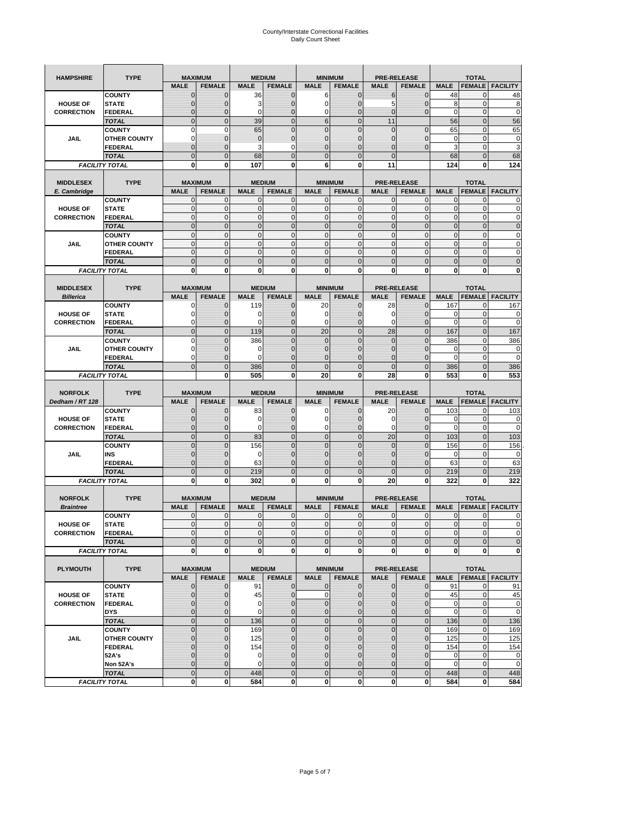| <b>HAMPSHIRE</b>                   | <b>TYPE</b>                   |                             | <b>MAXIMUM</b>                  |                   | <b>MEDIUM</b>                  |                            | <b>MINIMUM</b>                   | <b>PRE-RELEASE</b>                |                                 |                    | <b>TOTAL</b>                  |                        |
|------------------------------------|-------------------------------|-----------------------------|---------------------------------|-------------------|--------------------------------|----------------------------|----------------------------------|-----------------------------------|---------------------------------|--------------------|-------------------------------|------------------------|
|                                    |                               | <b>MALE</b>                 | <b>FEMALE</b>                   | <b>MALE</b>       | <b>FEMALE</b>                  | <b>MALE</b>                | <b>FEMALE</b>                    | <b>MALE</b>                       | <b>FEMALE</b>                   | <b>MALE</b>        | <b>FEMALE</b>                 | <b>FACILITY</b>        |
|                                    | <b>COUNTY</b>                 | $\mathbf{0}$                | $\mathbf 0$                     | 36                | $\mathbf{0}$                   | 6                          | $\mathbf{0}$                     | 6                                 | $\overline{0}$                  | 48                 | 0                             | 48                     |
| <b>HOUSE OF</b>                    | <b>STATE</b>                  | $\mathbf 0$                 | 0                               | 3                 | 0                              | $\mathbf 0$                | $\overline{0}$                   | 5                                 | $\mathbf 0$                     | 8                  | $\mathbf 0$                   | 8                      |
| <b>CORRECTION</b>                  | FEDERAL                       | $\mathbf 0$                 | $\overline{0}$                  | 0                 | $\mathbf 0$                    | $\mathbf 0$                | $\overline{0}$                   | $\mathbf{0}$                      | $\overline{0}$                  | $\mathbf 0$        | $\mathbf{0}$                  | 0                      |
|                                    | <b>TOTAL</b>                  | $\mathbf{0}$                | $\overline{0}$                  | 39                | $\mathbf 0$                    | $6\phantom{1}$             | $\overline{0}$                   | 11                                |                                 | 56                 | $\pmb{0}$                     | 56                     |
|                                    | <b>COUNTY</b>                 | $\mathbf 0$                 | $\mathbf 0$                     | 65                | $\mathbf 0$                    | $\overline{0}$             | $\overline{0}$                   | $\mathbf 0$                       | $\mathbf 0$                     | 65                 | $\mathbf 0$                   | 65                     |
| <b>JAIL</b>                        | <b>OTHER COUNTY</b>           | 0                           | $\mathbf 0$                     | $\overline{0}$    | $\pmb{0}$                      | $\mathbf{0}$               | $\overline{0}$                   | 0                                 | $\mathbf 0$                     | $\mathbf 0$        | $\mathbf{0}$                  | 0                      |
|                                    | <b>FEDERAL</b>                | $\mathbf{0}$                | $\mathbf 0$                     | 3                 | 0                              | $\overline{0}$             | $\mathbf{0}$                     | $\overline{0}$                    | $\overline{0}$                  | 3                  | $\pmb{0}$                     | 3                      |
|                                    | <b>TOTAL</b>                  | $\mathbf 0$                 | $\mathbf 0$                     | 68                | $\mathbf 0$                    | $\overline{0}$             | $\overline{0}$                   | $\mathbf{0}$                      |                                 | 68                 | $\mathbf 0$                   | 68                     |
| <b>FACILITY TOTAL</b>              |                               | 0                           | 0                               | 107               | 0                              | 6                          | 0                                | 11                                |                                 | 124                | 0                             | 124                    |
|                                    | <b>TYPE</b>                   |                             |                                 |                   |                                |                            | <b>MINIMUM</b>                   |                                   |                                 |                    | <b>TOTAL</b>                  |                        |
| <b>MIDDLESEX</b><br>E. Cambridge   |                               | <b>MALE</b>                 | <b>MAXIMUM</b><br><b>FEMALE</b> | <b>MALE</b>       | <b>MEDIUM</b><br><b>FEMALE</b> | <b>MALE</b>                | <b>FEMALE</b>                    | <b>PRE-RELEASE</b><br><b>MALE</b> | <b>FEMALE</b>                   | <b>MALE</b>        | <b>FEMALE</b>                 | <b>FACILITY</b>        |
|                                    | <b>COUNTY</b>                 | 0                           | $\mathbf 0$                     | 0                 | 0                              | 0                          | $\mathbf{0}$                     | 0                                 | 0                               | $\mathbf{0}$       | 0                             | 0                      |
| <b>HOUSE OF</b>                    | <b>STATE</b>                  | $\pmb{0}$                   | $\mathbf 0$                     | $\mathbf 0$       | $\mathbf 0$                    | $\mathbf{0}$               | $\mathbf 0$                      | $\mathbf{0}$                      | $\mathbf 0$                     | $\pmb{0}$          | $\mathbf{0}$                  | 0                      |
| <b>CORRECTION</b>                  | <b>FEDERAL</b>                | $\mathbf{0}$                | $\mathbf 0$                     | $\mathbf 0$       | $\mathbf{0}$                   | $\mathbf{0}$               | $\mathbf{0}$                     | $\mathbf{0}$                      | $\mathbf 0$                     | $\mathbf{0}$       | $\mathbf{0}$                  | 0                      |
|                                    | <b>TOTAL</b>                  | $\mathbf{0}$                | $\overline{0}$                  | $\overline{0}$    | $\mathbf 0$                    | $\mathbf{0}$               | $\mathbf{0}$                     | $\mathbf{0}$                      | $\overline{0}$                  | $\pmb{0}$          | $\mathbf{0}$                  | $\overline{0}$         |
|                                    | <b>COUNTY</b>                 | $\mathbf{0}$                | $\mathbf 0$                     | $\mathbf 0$       | $\mathbf 0$                    | $\mathbf{0}$               | $\mathbf{0}$                     | $\mathbf{0}$                      | $\mathbf 0$                     | $\bf 0$            | $\pmb{0}$                     | 0                      |
| JAIL                               | <b>OTHER COUNTY</b>           | $\mathbf{0}$                | $\mathbf 0$                     | $\mathbf 0$       | $\mathbf 0$                    | $\mathbf{0}$               | $\Omega$                         | $\mathbf{0}$                      | $\mathbf 0$                     | $\mathbf{0}$       | $\mathbf{0}$                  | 0                      |
|                                    | <b>FEDERAL</b>                | $\mathbf{0}$                | $\mathbf{0}$                    | $\mathbf{0}$      | $\mathbf{0}$                   | $\mathbf 0$                | $\mathbf{0}$                     | $\pmb{0}$                         | $\mathbf 0$                     | $\mathbf{0}$       | $\pmb{0}$                     | 0                      |
|                                    | <b>TOTAL</b>                  | $\mathbf{0}$                | $\overline{0}$                  | $\mathbf{0}$      | $\mathbf 0$                    | $\mathbf{0}$               | $\mathbf 0$                      | $\mathbf{0}$                      | $\overline{0}$                  | $\mathbf 0$        | $\mathbf 0$                   | $\overline{0}$         |
| <b>FACILITY TOTAL</b>              |                               | 0                           | 0                               | $\mathbf 0$       | 0                              | 0                          | $\mathbf{0}$                     | $\bf{0}$                          | 0                               | 0                  | 0                             | O                      |
| <b>MIDDLESEX</b>                   | <b>TYPE</b>                   |                             | <b>MAXIMUM</b>                  |                   | <b>MEDIUM</b>                  |                            | <b>MINIMUM</b>                   | <b>PRE-RELEASE</b>                |                                 |                    | <b>TOTAL</b>                  |                        |
| <b>Billerica</b>                   |                               | <b>MALE</b>                 | <b>FEMALE</b>                   | <b>MALE</b>       | <b>FEMALE</b>                  | <b>MALE</b>                | <b>FEMALE</b>                    | <b>MALE</b>                       | <b>FEMALE</b>                   | <b>MALE</b>        | <b>FEMALE</b>                 | <b>FACILITY</b>        |
|                                    | <b>COUNTY</b>                 | 0                           | $\mathbf 0$                     | 119               | $\mathbf{0}$                   | 20                         | $\mathbf{0}$                     | 28                                | $\overline{0}$                  | 167                | 0                             | 167                    |
| <b>HOUSE OF</b>                    | <b>STATE</b>                  | 0                           | $\overline{0}$                  | 0                 | $\mathbf{0}$                   | 0                          | $\mathbf{0}$                     | 0                                 | $\overline{0}$                  | 0                  | $\mathbf 0$                   | 0                      |
| <b>CORRECTION</b>                  | <b>FEDERAL</b>                | 0                           | $\mathbf 0$                     | 0                 | $\mathbf{0}$                   | $\mathbf 0$                | $\mathbf{0}$                     | 0                                 | $\mathbf 0$                     | $\mathbf 0$        | $\pmb{0}$                     | 0                      |
|                                    | <b>TOTAL</b>                  | $\mathbf{0}$                | $\overline{0}$                  | 119               | $\mathbf 0$                    | 20                         | $\mathbf 0$                      | 28                                | $\overline{0}$                  | 167                | $\mathbf{0}$                  | 167                    |
|                                    | <b>COUNTY</b>                 | $\mathbf 0$                 | $\overline{0}$                  | 386               | $\overline{0}$                 | $\overline{0}$             | $\overline{0}$                   | $\mathbf 0$                       | $\overline{0}$                  | 386                | $\mathbf 0$                   | 386                    |
| <b>JAIL</b>                        | <b>OTHER COUNTY</b>           | 0                           | 0                               | 0                 | 0                              | $\mathbf 0$                | $\overline{0}$                   | 0                                 | $\mathbf 0$                     | 0                  | 0                             | 0                      |
|                                    | <b>FEDERAL</b>                | 0                           | $\overline{0}$                  | $\Omega$          | $\overline{0}$                 | $\overline{0}$             | $\mathbf 0$                      | 0                                 | $\overline{0}$                  | $\mathbf 0$        | $\mathbf{0}$                  | 0                      |
|                                    |                               | $\mathbf{0}$                |                                 |                   |                                |                            |                                  |                                   |                                 | 386                |                               |                        |
|                                    | <b>TOTAL</b>                  |                             | $\mathbf 0$                     | 386               | $\mathbf 0$                    | $\overline{0}$             | $\mathbf 0$                      | $\mathbf{0}$                      | $\mathbf 0$                     |                    | $\mathbf 0$                   | 386                    |
| <b>FACILITY TOTAL</b>              |                               |                             | 0                               | 505               | 0                              | 20                         | 0                                | 28                                | 0                               | 553                | 0                             | 553                    |
|                                    |                               |                             |                                 |                   |                                |                            |                                  |                                   |                                 |                    |                               |                        |
| <b>NORFOLK</b>                     | <b>TYPE</b>                   |                             | <b>MAXIMUM</b>                  |                   | <b>MEDIUM</b>                  |                            | <b>MINIMUM</b>                   | <b>PRE-RELEASE</b>                |                                 |                    | <b>TOTAL</b>                  |                        |
| Dedham / RT 128                    | <b>COUNTY</b>                 | <b>MALE</b><br>$\mathbf{0}$ | <b>FEMALE</b><br>$\mathbf 0$    | <b>MALE</b><br>83 | <b>FEMALE</b><br>$\mathbf{0}$  | <b>MALE</b><br>0           | <b>FEMALE</b><br>$\mathbf{0}$    | <b>MALE</b><br>20                 | <b>FEMALE</b><br>$\overline{0}$ | <b>MALE</b><br>103 | <b>FEMALE</b><br>0            | <b>FACILITY</b>        |
| <b>HOUSE OF</b>                    | <b>STATE</b>                  | $\mathbf{0}$                | $\mathbf 0$                     | $\mathbf 0$       | $\overline{0}$                 | $\mathbf 0$                | $\mathbf{0}$                     | 0                                 | $\overline{0}$                  | 0                  | $\mathbf 0$                   | 103                    |
| <b>CORRECTION</b>                  | <b>FEDERAL</b>                | 0                           | 0                               | 0                 | 0                              | 0                          | $\overline{0}$                   | 0                                 | 0                               | $\mathbf 0$        | $\mathbf 0$                   | 0                      |
|                                    | <b>TOTAL</b>                  | $\mathbf{0}$                | $\mathbf 0$                     | 83                | $\overline{0}$                 | $\mathbf 0$                | $\overline{0}$                   | 20                                | $\overline{0}$                  | 103                | $\mathbf{0}$                  | 103                    |
|                                    | <b>COUNTY</b>                 | $\mathbf{0}$                | $\overline{0}$                  | 156               | $\overline{0}$                 | $\overline{0}$             | $\overline{0}$                   | $\mathbf 0$                       | $\overline{0}$                  | 156                | $\mathbf 0$                   | 156                    |
| <b>JAIL</b>                        | INS                           | $\mathbf 0$                 | 0                               | $\mathbf 0$       | 0                              | $\mathbf{0}$               | $\overline{0}$                   | 0                                 | $\mathbf 0$                     | 0                  | 0                             | 0                      |
|                                    | FEDERAL                       | $\mathbf{0}$                | $\overline{0}$                  | 63                | $\overline{0}$                 | $\overline{0}$             | $\overline{0}$                   | $\overline{0}$                    | $\mathbf 0$                     | 63                 | $\mathbf{0}$                  | 63                     |
|                                    | <b>TOTAL</b>                  | $\mathbf 0$                 | $\overline{0}$                  | 219               | $\overline{0}$                 | $\overline{0}$             | $\overline{0}$                   | $\overline{0}$                    | $\overline{0}$                  | 219                | $\overline{0}$                | 219                    |
| <b>FACILITY TOTAL</b>              |                               | 0                           | 0                               | 302               | 0                              | 0                          | $\mathbf{0}$                     | 20                                | 0                               | 322                | 0                             | 322                    |
|                                    |                               |                             |                                 |                   | <b>MEDIUM</b>                  |                            |                                  |                                   |                                 |                    |                               |                        |
| <b>NORFOLK</b><br><b>Braintree</b> | <b>TYPE</b>                   | <b>MALE</b>                 | <b>MAXIMUM</b><br><b>FEMALE</b> | <b>MALE</b>       | <b>FEMALE</b>                  | <b>MALE</b>                | <b>MINIMUM</b><br><b>FEMALE</b>  | <b>PRE-RELEASE</b><br><b>MALE</b> | <b>FEMALE</b>                   | <b>MALE</b>        | <b>TOTAL</b><br><b>FEMALE</b> | <b>FACILITY</b>        |
|                                    | <b>COUNTY</b>                 | 0                           | $\mathbf 0$                     | $\mathbf 0$       | 0                              | 0                          | $\mathbf{0}$                     | 0                                 | 0                               | 0                  | 0                             | 0                      |
| <b>HOUSE OF</b>                    | <b>STATE</b>                  | $\mathbf{0}$                | $\mathbf{0}$                    | $\mathbf{O}$      | $\overline{0}$                 | $\mathbf{0}$               | $\overline{0}$                   | $\mathbf{0}$                      | $\overline{0}$                  | $\mathbf{0}$       | $\mathbf{O}$                  | 0                      |
| <b>CORRECTION</b>                  | FEDERAL                       | $\mathbf 0$                 | 0                               | $\mathbf 0$       | $\mathbf 0$                    | $\mathbf 0$                | $\overline{0}$                   | 0                                 | $\mathbf 0$                     | $\mathbf 0$        | $\mathbf 0$                   | 0                      |
|                                    | <b>TOTAL</b>                  | $\pmb{0}$                   | $\mathbf 0$                     | $\mathbf 0$       | $\mathbf 0$                    | $\mathbf{0}$               | $\mathbf 0$                      | $\mathbf 0$                       | $\pmb{0}$                       | $\mathbf 0$        | $\pmb{0}$                     | $\mathbf 0$            |
| <b>FACILITY TOTAL</b>              |                               | $\mathbf 0$                 | 0                               | $\mathbf{0}$      | 0                              | 0                          | <sub>0</sub>                     | $\mathbf 0$                       | 0                               | $\mathbf 0$        | $\mathbf 0$                   | $\mathbf{0}$           |
|                                    |                               |                             |                                 |                   |                                |                            |                                  |                                   |                                 |                    |                               |                        |
| <b>PLYMOUTH</b>                    | <b>TYPE</b>                   |                             | <b>MAXIMUM</b>                  |                   | <b>MEDIUM</b>                  |                            | <b>MINIMUM</b>                   |                                   | <b>PRE-RELEASE</b>              |                    | <b>TOTAL</b>                  |                        |
|                                    |                               | <b>MALE</b>                 | <b>FEMALE</b>                   | <b>MALE</b>       | <b>FEMALE</b>                  | <b>MALE</b>                | <b>FEMALE</b>                    | <b>MALE</b>                       | <b>FEMALE</b>                   | <b>MALE</b>        |                               | <b>FEMALE FACILITY</b> |
| <b>HOUSE OF</b>                    | <b>COUNTY</b><br><b>STATE</b> | $\mathbf{0}$<br>$\mathbf 0$ | $\mathbf{0}$<br>$\mathbf 0$     | 91                | $\mathbf 0$<br>$\pmb{0}$       | 0<br>$\pmb{0}$             | $\mathbf{0}$<br>$\mathbf 0$      | $\mathbf 0$<br>$\mathbf 0$        | $\mathbf{0}$<br>$\overline{0}$  | 91<br>45           | $\mathbf 0$<br>$\mathbf 0$    | 91                     |
| <b>CORRECTION</b>                  | <b>FEDERAL</b>                | $\mathbf{0}$                | $\mathbf 0$                     | 45<br>0           | $\mathbf 0$                    | $\mathbf 0$                | $\mathbf{0}$                     | 0                                 | $\overline{0}$                  | $\mathbf 0$        | $\mathbf 0$                   | 45<br>$\pmb{0}$        |
|                                    | <b>DYS</b>                    | $\pmb{0}$                   | $\mathbf{0}$                    | 0                 | $\pmb{0}$                      | $\mathbf 0$                | $\overline{0}$                   | $\mathbf 0$                       | $\mathbf 0$                     | $\mathbf 0$        | $\overline{0}$                | $\mathbf 0$            |
|                                    | <b>TOTAL</b>                  | $\mathbf 0$                 | $\mathbf 0$                     | 136               | $\mathbf 0$                    | $\mathbf 0$                | $\mathbf 0$                      | $\mathbf 0$                       | $\pmb{0}$                       | 136                | $\mathbf{0}$                  | 136                    |
|                                    | <b>COUNTY</b>                 | $\pmb{0}$                   | $\mathbf 0$                     | 169               | $\mathbf 0$                    | $\mathbf{0}$               | $\overline{0}$                   | $\mathbf 0$                       | $\pmb{0}$                       | 169                | $\mathbf 0$                   | 169                    |
| JAIL                               | <b>OTHER COUNTY</b>           | $\mathbf{0}$                | $\mathbf 0$                     | 125               | $\pmb{0}$                      | $\mathbf 0$                | $\overline{0}$                   | 0                                 | $\mathbf 0$                     | 125                | $\mathbf 0$                   | 125                    |
|                                    | <b>FEDERAL</b>                | $\mathbf 0$                 | $\mathbf 0$                     | 154               | 0                              | $\mathbf 0$                | $\overline{0}$                   | $\mathbf 0$                       | $\mathbf 0$                     | 154                | $\mathbf 0$                   | 154                    |
|                                    | 52A's                         | $\mathbf{0}$                | $\mathbf 0$                     | 0                 | $\mathbf{0}$                   | $\mathbf 0$                | $\overline{0}$                   | $\mathbf 0$                       | $\mathbf 0$                     | $\mathbf 0$        | $\mathbf{0}$                  | $\mathbf 0$            |
|                                    | Non 52A's<br><b>TOTAL</b>     | $\mathbf 0$<br>$\mathbf{0}$ | $\mathbf{0}$<br>$\mathbf 0$     | 0<br>448          | 0<br>$\overline{0}$            | $\mathbf 0$<br>$\mathbf 0$ | $\overline{0}$<br>$\overline{0}$ | $\mathbf 0$<br>$\mathbf 0$        | $\mathbf 0$<br>$\pmb{0}$        | $\mathbf 0$<br>448 | $\mathbf 0$<br>$\pmb{0}$      | $\mathbf 0$<br>448     |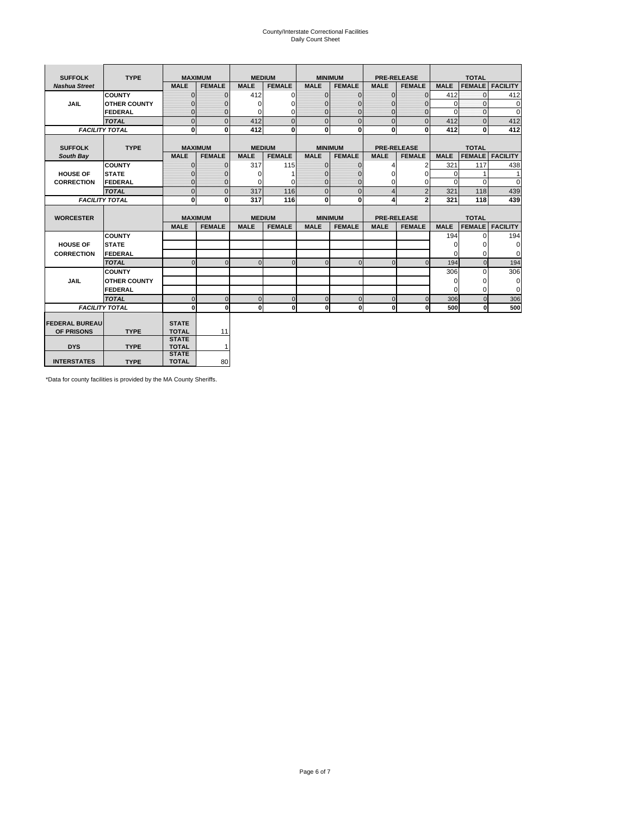# County/Interstate Correctional Facilities Daily Count Sheet

| <b>SUFFOLK</b>        | <b>TYPE</b>           |                              | <b>MAXIMUM</b> |               | <b>MEDIUM</b> |                | <b>MINIMUM</b> |                | <b>PRE-RELEASE</b> |             | <b>TOTAL</b>  |                 |
|-----------------------|-----------------------|------------------------------|----------------|---------------|---------------|----------------|----------------|----------------|--------------------|-------------|---------------|-----------------|
| <b>Nashua Street</b>  |                       | <b>MALE</b>                  | <b>FEMALE</b>  | <b>MALE</b>   | <b>FEMALE</b> | <b>MALE</b>    | <b>FEMALE</b>  | <b>MALE</b>    | <b>FEMALE</b>      | <b>MALE</b> | <b>FEMALE</b> | <b>FACILITY</b> |
|                       | <b>COUNTY</b>         | $\Omega$                     | $\mathbf{0}$   | 412           | $\Omega$      | $\mathbf{0}$   | $\Omega$       | $\mathbf{0}$   | $\Omega$           | 412         | $\Omega$      | 412             |
| JAIL                  | <b>OTHER COUNTY</b>   | $\Omega$                     | $\Omega$       | $\Omega$      | 0             | $\Omega$       | $\Omega$       | $\Omega$       | $\Omega$           | $\Omega$    | $\Omega$      | 0               |
|                       | <b>FEDERAL</b>        | $\mathbf{0}$                 | $\mathbf{0}$   | 0             | 0             | $\mathbf{0}$   | $\mathbf{0}$   | $\mathbf 0$    | $\mathbf{0}$       | $\Omega$    | 0             | 0               |
|                       | <b>TOTAL</b>          | $\Omega$                     | $\Omega$       | 412           | $\Omega$      | $\overline{0}$ | $\Omega$       | $\Omega$       | $\Omega$           | 412         | $\Omega$      | 412             |
|                       | <b>FACILITY TOTAL</b> | 0                            | $\bf{0}$       | 412           | $\bf{0}$      | $\mathbf{0}$   | $\bf{0}$       | $\mathbf{0}$   | 0                  | 412         | 0             | 412             |
|                       |                       |                              |                |               |               |                |                |                |                    |             |               |                 |
| <b>SUFFOLK</b>        | <b>TYPE</b>           |                              | <b>MAXIMUM</b> | <b>MEDIUM</b> |               |                | <b>MINIMUM</b> |                | <b>PRE-RELEASE</b> |             | <b>TOTAL</b>  |                 |
| South Bay             |                       | <b>MALE</b>                  | <b>FEMALE</b>  | <b>MALE</b>   | <b>FEMALE</b> | <b>MALE</b>    | <b>FEMALE</b>  | <b>MALE</b>    | <b>FEMALE</b>      | <b>MALE</b> | <b>FEMALE</b> | <b>FACILITY</b> |
|                       | <b>COUNTY</b>         | $\Omega$                     | $\mathbf{0}$   | 317           | 115           | $\mathbf{0}$   | $\mathbf{0}$   | 4              | 2                  | 321         | 117           | 438             |
| <b>HOUSE OF</b>       | <b>STATE</b>          |                              | $\overline{0}$ | $\Omega$      |               | $\Omega$       | O              | $\Omega$       | $\Omega$           | $\Omega$    |               | 1               |
| <b>CORRECTION</b>     | <b>FEDERAL</b>        | $\Omega$                     | $\overline{0}$ | 0             | $\Omega$      | $\mathbf{0}$   | $\mathbf{0}$   | $\Omega$       | 0                  | $\Omega$    | $\Omega$      | $\Omega$        |
|                       | <b>TOTAL</b>          | $\Omega$                     | $\overline{0}$ | 317           | 116           | $\mathbf 0$    | $\mathbf{0}$   | $\overline{4}$ | $\overline{2}$     | 321         | 118           | 439             |
|                       | <b>FACILITY TOTAL</b> | 0                            | 0              | 317           | 116           | $\mathbf{0}$   | 0              | 4              | $\mathbf{2}$       | 321         | 118           | 439             |
|                       |                       |                              |                |               |               |                |                |                |                    |             |               |                 |
| <b>WORCESTER</b>      |                       |                              | <b>MAXIMUM</b> | <b>MEDIUM</b> |               |                | <b>MINIMUM</b> |                | <b>PRE-RELEASE</b> |             | <b>TOTAL</b>  |                 |
|                       |                       | <b>MALE</b>                  | <b>FEMALE</b>  | <b>MALE</b>   | <b>FEMALE</b> | <b>MALE</b>    | <b>FEMALE</b>  | <b>MALE</b>    | <b>FEMALE</b>      | <b>MALE</b> | <b>FEMALE</b> | <b>FACILITY</b> |
|                       | <b>COUNTY</b>         |                              |                |               |               |                |                |                |                    | 194         | $\Omega$      | 194             |
| <b>HOUSE OF</b>       | <b>STATE</b>          |                              |                |               |               |                |                |                |                    | 0           | 0             | 0               |
| <b>CORRECTION</b>     | FEDERAL               |                              |                |               |               |                |                |                |                    | $\Omega$    | $\Omega$      | 0               |
|                       | <b>TOTAL</b>          | $\Omega$                     | $\mathbf{0}$   | $\Omega$      | $\mathbf 0$   | $\mathbf{0}$   | $\mathbf{0}$   | $\mathbf{0}$   | $\Omega$           | 194         | $\mathbf{0}$  | 194             |
|                       | <b>COUNTY</b>         |                              |                |               |               |                |                |                |                    | 306         | $\Omega$      | 306             |
| <b>JAIL</b>           | <b>OTHER COUNTY</b>   |                              |                |               |               |                |                |                |                    | $\Omega$    | $\Omega$      | 0               |
|                       | FEDERAL               |                              |                |               |               |                |                |                |                    | $\Omega$    | $\Omega$      | $\mathbf 0$     |
|                       | <b>TOTAL</b>          | $\cap$                       | $\Omega$       | $\Omega$      | $\mathbf{0}$  | $\mathbf{0}$   | $\Omega$       | $\Omega$       | $\Omega$           | 306         | $\Omega$      | 306             |
|                       | <b>FACILITY TOTAL</b> | $\Omega$                     | 0              | $\Omega$      | 0             | $\mathbf{0}$   | $\bf{0}$       | $\mathbf 0$    | 0                  | 500         | O             | 500             |
|                       |                       |                              |                |               |               |                |                |                |                    |             |               |                 |
| <b>FEDERAL BUREAU</b> |                       | <b>STATE</b>                 |                |               |               |                |                |                |                    |             |               |                 |
| OF PRISONS            | <b>TYPE</b>           | <b>TOTAL</b><br><b>STATE</b> | 11             |               |               |                |                |                |                    |             |               |                 |
| <b>DYS</b>            | <b>TYPE</b>           | <b>TOTAL</b>                 | $\mathbf{1}$   |               |               |                |                |                |                    |             |               |                 |
|                       |                       |                              |                |               |               |                |                |                |                    |             |               |                 |
|                       |                       | <b>STATE</b>                 |                |               |               |                |                |                |                    |             |               |                 |

\*Data for county facilities is provided by the MA County Sheriffs.